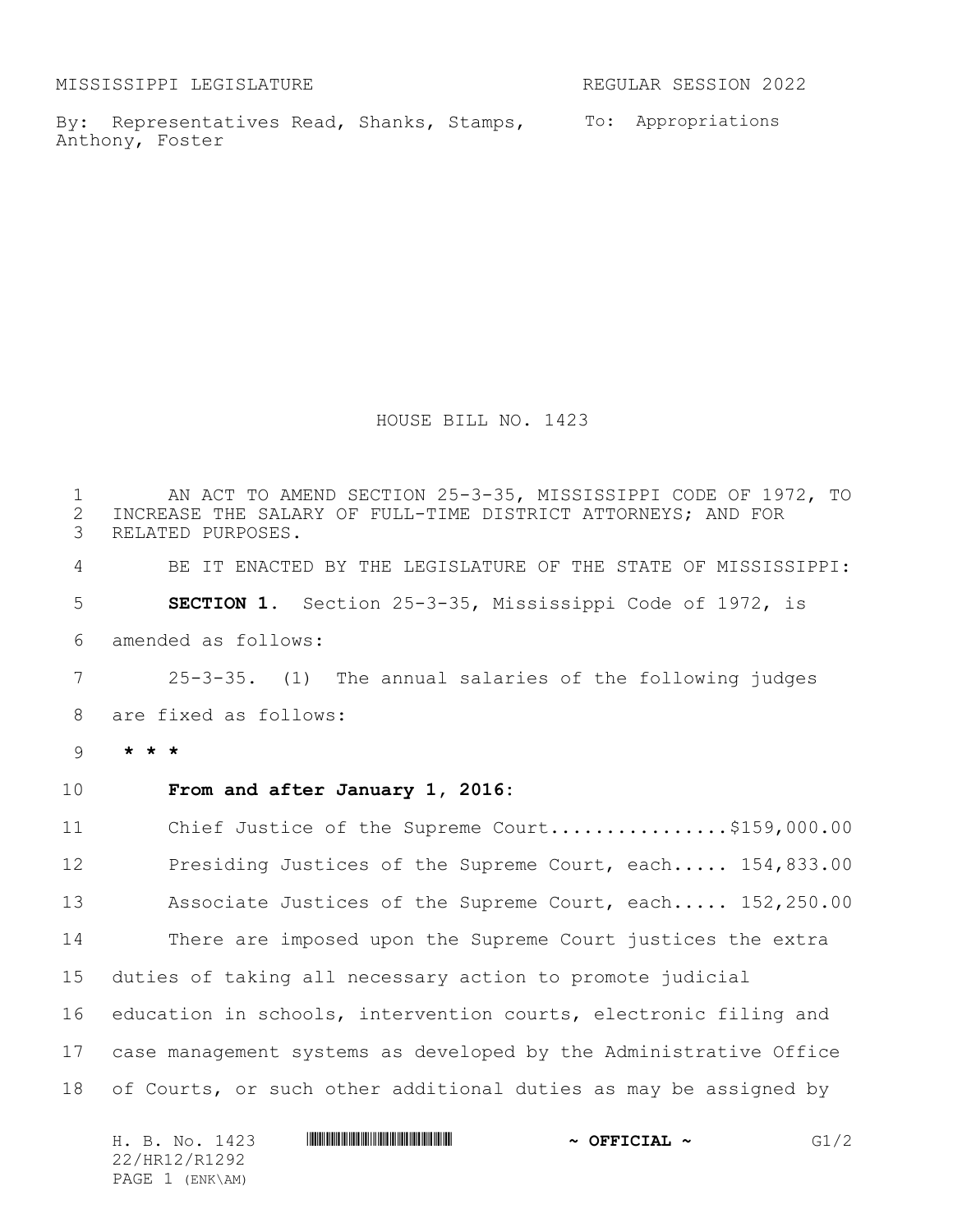MISSISSIPPI LEGISLATURE **REGULAR SESSION 2022** 

By: Representatives Read, Shanks, Stamps, To: Appropriations Anthony, Foster

HOUSE BILL NO. 1423

 AN ACT TO AMEND SECTION 25-3-35, MISSISSIPPI CODE OF 1972, TO 2 INCREASE THE SALARY OF FULL-TIME DISTRICT ATTORNEYS; AND FOR<br>3 RELATED PURPOSES. RELATED PURPOSES. BE IT ENACTED BY THE LEGISLATURE OF THE STATE OF MISSISSIPPI: **SECTION 1.** Section 25-3-35, Mississippi Code of 1972, is amended as follows: 25-3-35. (1) The annual salaries of the following judges are fixed as follows: 9 **\* \* \* From and after January 1, 2016:** 11 Chief Justice of the Supreme Court.................\$159,000.00 12 Presiding Justices of the Supreme Court, each..... 154,833.00 13 Associate Justices of the Supreme Court, each..... 152,250.00 There are imposed upon the Supreme Court justices the extra duties of taking all necessary action to promote judicial education in schools, intervention courts, electronic filing and case management systems as developed by the Administrative Office of Courts, or such other additional duties as may be assigned by

|  |                 | H. B. No. 1423 |  | $\sim$ OFFICIAL $\sim$ | G1/2 |
|--|-----------------|----------------|--|------------------------|------|
|  | 22/HR12/R1292   |                |  |                        |      |
|  | PAGE 1 (ENK\AM) |                |  |                        |      |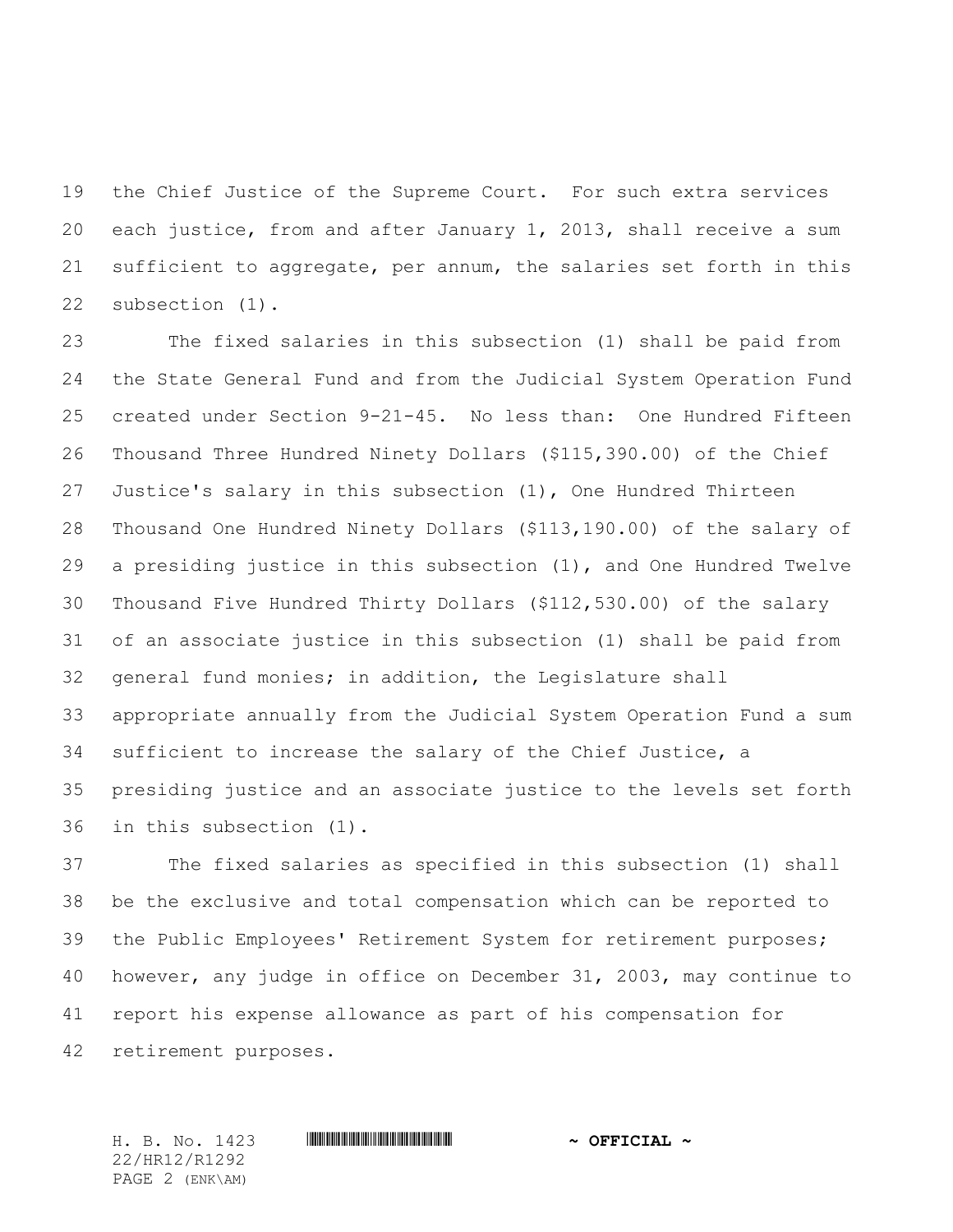the Chief Justice of the Supreme Court. For such extra services each justice, from and after January 1, 2013, shall receive a sum sufficient to aggregate, per annum, the salaries set forth in this subsection (1).

 The fixed salaries in this subsection (1) shall be paid from the State General Fund and from the Judicial System Operation Fund created under Section 9-21-45. No less than: One Hundred Fifteen Thousand Three Hundred Ninety Dollars (\$115,390.00) of the Chief Justice's salary in this subsection (1), One Hundred Thirteen Thousand One Hundred Ninety Dollars (\$113,190.00) of the salary of a presiding justice in this subsection (1), and One Hundred Twelve Thousand Five Hundred Thirty Dollars (\$112,530.00) of the salary of an associate justice in this subsection (1) shall be paid from general fund monies; in addition, the Legislature shall appropriate annually from the Judicial System Operation Fund a sum sufficient to increase the salary of the Chief Justice, a presiding justice and an associate justice to the levels set forth in this subsection (1).

 The fixed salaries as specified in this subsection (1) shall be the exclusive and total compensation which can be reported to the Public Employees' Retirement System for retirement purposes; however, any judge in office on December 31, 2003, may continue to report his expense allowance as part of his compensation for retirement purposes.

H. B. No. 1423 \*HR12/R1292\* **~ OFFICIAL ~** 22/HR12/R1292 PAGE 2 (ENK\AM)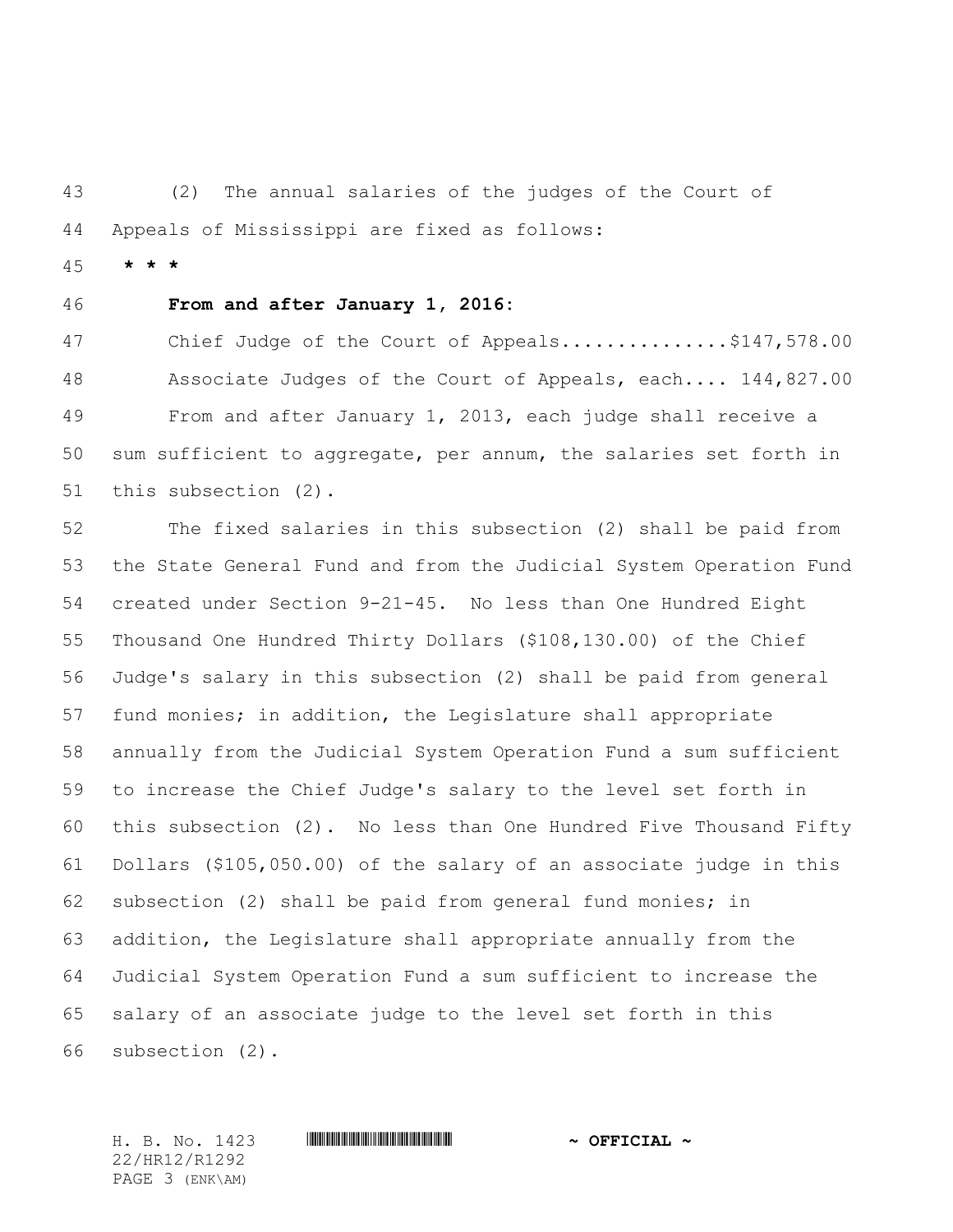(2) The annual salaries of the judges of the Court of Appeals of Mississippi are fixed as follows:

**\* \* \***

## **From and after January 1, 2016:**

47 Chief Judge of the Court of Appeals...............\$147,578.00 48 Associate Judges of the Court of Appeals, each.... 144,827.00 From and after January 1, 2013, each judge shall receive a sum sufficient to aggregate, per annum, the salaries set forth in this subsection (2).

 The fixed salaries in this subsection (2) shall be paid from the State General Fund and from the Judicial System Operation Fund created under Section 9-21-45. No less than One Hundred Eight Thousand One Hundred Thirty Dollars (\$108,130.00) of the Chief Judge's salary in this subsection (2) shall be paid from general fund monies; in addition, the Legislature shall appropriate annually from the Judicial System Operation Fund a sum sufficient to increase the Chief Judge's salary to the level set forth in this subsection (2). No less than One Hundred Five Thousand Fifty Dollars (\$105,050.00) of the salary of an associate judge in this subsection (2) shall be paid from general fund monies; in addition, the Legislature shall appropriate annually from the Judicial System Operation Fund a sum sufficient to increase the salary of an associate judge to the level set forth in this subsection (2).

22/HR12/R1292 PAGE 3 (ENK\AM)

H. B. No. 1423 \*HR12/R1292\* **~ OFFICIAL ~**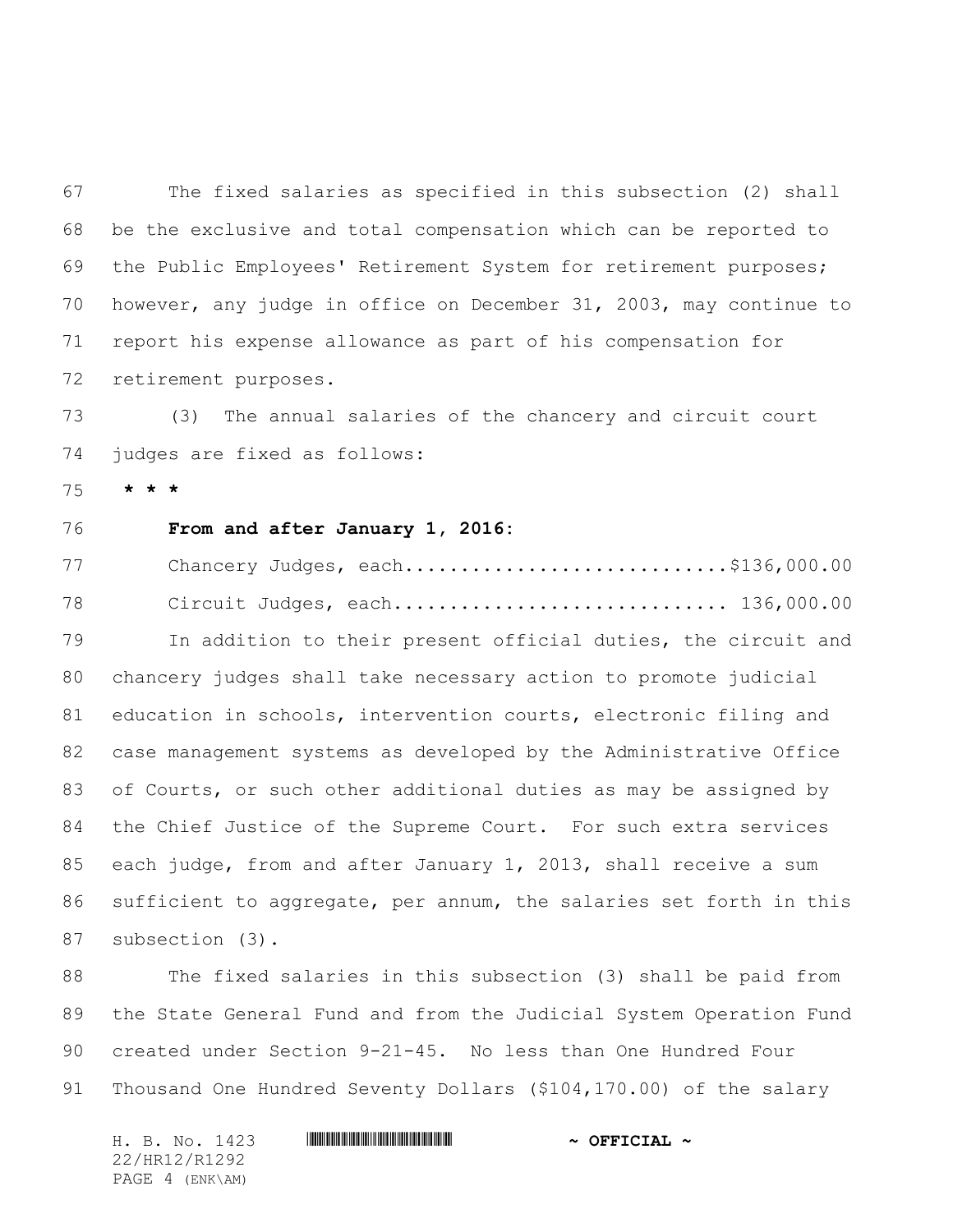The fixed salaries as specified in this subsection (2) shall be the exclusive and total compensation which can be reported to the Public Employees' Retirement System for retirement purposes; however, any judge in office on December 31, 2003, may continue to report his expense allowance as part of his compensation for retirement purposes.

 (3) The annual salaries of the chancery and circuit court judges are fixed as follows:

**\* \* \***

# **From and after January 1, 2016:**

77 Chancery Judges, each................................\$136,000.00 78 Circuit Judges, each.............................. 136,000.00 In addition to their present official duties, the circuit and chancery judges shall take necessary action to promote judicial education in schools, intervention courts, electronic filing and case management systems as developed by the Administrative Office of Courts, or such other additional duties as may be assigned by the Chief Justice of the Supreme Court. For such extra services each judge, from and after January 1, 2013, shall receive a sum sufficient to aggregate, per annum, the salaries set forth in this subsection (3).

 The fixed salaries in this subsection (3) shall be paid from the State General Fund and from the Judicial System Operation Fund created under Section 9-21-45. No less than One Hundred Four Thousand One Hundred Seventy Dollars (\$104,170.00) of the salary

H. B. No. 1423 **. HRINING AND ALL AND A SEPICIAL ~** 22/HR12/R1292 PAGE 4 (ENK\AM)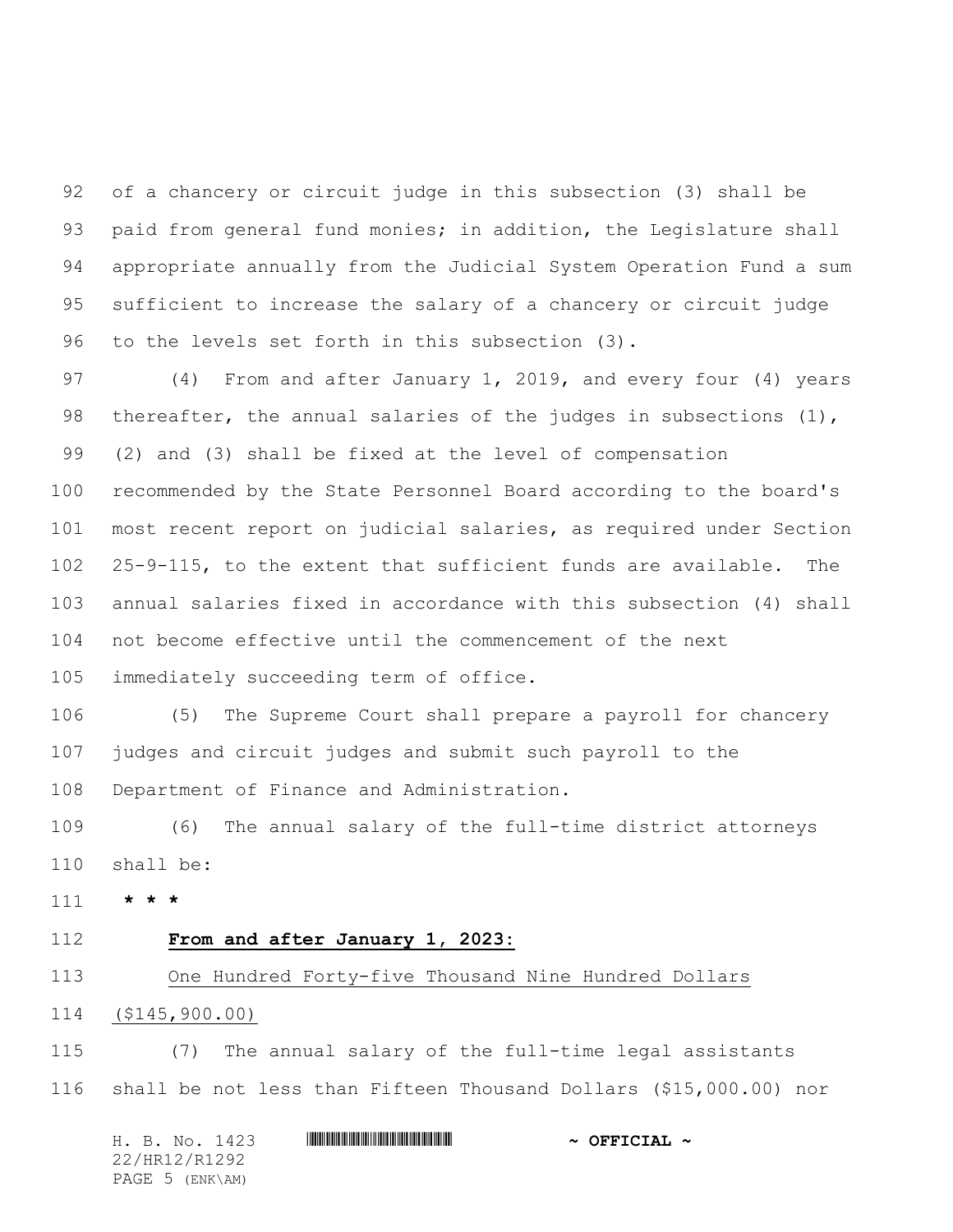of a chancery or circuit judge in this subsection (3) shall be 93 paid from general fund monies; in addition, the Legislature shall appropriate annually from the Judicial System Operation Fund a sum sufficient to increase the salary of a chancery or circuit judge to the levels set forth in this subsection (3).

 (4) From and after January 1, 2019, and every four (4) years 98 thereafter, the annual salaries of the judges in subsections (1), (2) and (3) shall be fixed at the level of compensation recommended by the State Personnel Board according to the board's most recent report on judicial salaries, as required under Section 25-9-115, to the extent that sufficient funds are available. The annual salaries fixed in accordance with this subsection (4) shall not become effective until the commencement of the next immediately succeeding term of office.

 (5) The Supreme Court shall prepare a payroll for chancery judges and circuit judges and submit such payroll to the Department of Finance and Administration.

 (6) The annual salary of the full-time district attorneys shall be:

**\* \* \***

### **From and after January 1, 2023:**

#### One Hundred Forty-five Thousand Nine Hundred Dollars

### (\$145,900.00)

 (7) The annual salary of the full-time legal assistants shall be not less than Fifteen Thousand Dollars (\$15,000.00) nor

| H. B. No. 1423  |  |  | $\sim$ OFFICIAL $\sim$ |  |
|-----------------|--|--|------------------------|--|
| 22/HR12/R1292   |  |  |                        |  |
| PAGE 5 (ENK\AM) |  |  |                        |  |